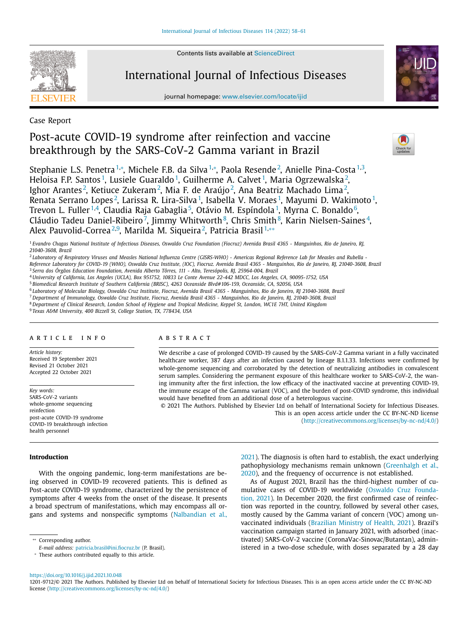Contents lists available at [ScienceDirect](http://www.ScienceDirect.com)



## International Journal of Infectious Diseases

journal homepage: [www.elsevier.com/locate/ijid](http://www.elsevier.com/locate/ijid)



## Case Report

# Post-acute COVID-19 syndrome after reinfection and vaccine breakthrough by the SARS-CoV-2 Gamma variant in Brazil



Stephanie L.S. Penetra <sup>1,</sup>\*, Michele F.B. da Silva <sup>1,</sup>\*, Paola Resende <sup>2</sup>, Anielle Pina-Costa <sup>1,3</sup>, Heloisa F.P. Santos<sup>1</sup>, Lusiele Guaraldo<sup>1</sup>, Guilherme A. Calvet<sup>1</sup>, Maria Ogrzewalska<sup>2</sup>, Ighor Arantes<sup>2</sup>, Ketiuce Zukeram<sup>2</sup>, Mia F. de Araújo<sup>2</sup>, Ana Beatriz Machado Lima<sup>2</sup>, Renata Serrano Lopes<sup>2</sup>, Larissa R. Lira-Silva<sup>1</sup>, Isabella V. Moraes<sup>1</sup>, Mayumi D. Wakimoto<sup>1</sup>, Trevon L. Fuller $^{1,4}$ , Claudia Raja Gabaglia $^5$ , Otávio M. Espíndola $^1$ , Myrna C. Bonaldo $^6$ , Cláudio Tadeu Daniel-Ribeiro<sup>7</sup>, Jimmy Whitworth<sup>8</sup>, Chris Smith<sup>8</sup>, Karin Nielsen-Saines<sup>4</sup>, Alex Pauvolid-Correa<sup>2,9</sup>, Marilda M. Siqueira<sup>2</sup>, Patricia Brasil<sup>1,</sup>\*\*

<sup>1</sup> Evandro Chagas National Institute of Infectious Diseases, Oswaldo Cruz Foundation (Fiocruz) Avenida Brasil 4365 - Manguinhos, Rio de Janeiro, RJ, *21040-3608, Brazil*

<sup>2</sup> Laboratory of Respiratory Viruses and Measles National Influenza Centre (GISRS-WHO) - Americas Regional Reference Lab for Measles and Rubella -

Reference Laboratory for COVID-19 (WHO), Oswaldo Cruz Institute, (IOC), Fiocruz. Avenida Brasil 4365 - Manguinhos, Rio de Janeiro, RJ, 21040-3608, Brazil

<sup>3</sup> *Serra dos Órgãos Education Foundation, Avenida Alberto Tôrres, 111 - Alto, Teresópolis, RJ, 25964-004, Brazil*

4 University of California, Los Angeles (UCLA), Box 951752, 10833 Le Conte Avenue 22-442 MDCC, Los Angeles, CA, 90095-1752, USA

<sup>5</sup> *Biomedical Research Institute of Southern California (BRISC), 4263 Oceanside Blvd#106-159, Oceanside, CA, 92056, USA*

<sup>6</sup> Laboratory of Molecular Biology, Oswaldo Cruz Institute, Fiocruz, Avenida Brasil 4365 - Manguinhos, Rio de Janeiro, RJ 21040-3608, Brazil

7 Department of Immunology, Oswaldo Cruz Institute, Fiocruz, Avenida Brasil 4365 - Manguinhos, Rio de Janeiro, RJ, 21040-3608, Brazil

<sup>8</sup> Department of Clinical Research, London School of Hygiene and Tropical Medicine, Keppel St, London, WC1E 7HT, United Kingdom

<sup>9</sup> *Texas A&M University, 400 Bizzell St, College Station, TX, 778434, USA*

#### ARTICLE INFO

*Article history:* Received 19 September 2021 Revised 21 October 2021 Accepted 22 October 2021

*Key words:* SARS-CoV-2 variants whole-genome sequencing reinfection post-acute COVID-19 syndrome COVID-19 breakthrough infection health personnel

## **Introduction**

With the ongoing pandemic, long-term manifestations are being observed in COVID-19 recovered patients. This is defined as Post-acute COVID-19 syndrome, characterized by the persistence of symptoms after 4 weeks from the onset of the disease. It presents a broad spectrum of manifestations, which may encompass all organs and systems and nonspecific symptoms [\(Nalbandian](#page-3-0) et al.,

*E-mail address:* [patricia.brasil@ini.fiocruz.br](mailto:patricia.brasil@ini.fiocruz.br) (P. Brasil).

## a b s t r a c t

We describe a case of prolonged COVID-19 caused by the SARS-CoV-2 Gamma variant in a fully vaccinated healthcare worker, 387 days after an infection caused by lineage B.1.1.33. Infections were confirmed by whole-genome sequencing and corroborated by the detection of neutralizing antibodies in convalescent serum samples. Considering the permanent exposure of this healthcare worker to SARS-CoV-2, the waning immunity after the first infection, the low efficacy of the inactivated vaccine at preventing COVID-19, the immune escape of the Gamma variant (VOC), and the burden of post-COVID syndrome, this individual would have benefited from an additional dose of a heterologous vaccine.

© 2021 The Authors. Published by Elsevier Ltd on behalf of International Society for Infectious Diseases. This is an open access article under the CC BY-NC-ND license [\(http://creativecommons.org/licenses/by-nc-nd/4.0/\)](http://creativecommons.org/licenses/by-nc-nd/4.0/)

> [2021\)](#page-3-0). The diagnosis is often hard to establish, the exact underlying [pathophysiology](#page-3-0) mechanisms remain unknown (Greenhalgh et al., 2020), and the frequency of occurrence is not established.

> As of August 2021, Brazil has the third-highest number of cumulative cases of COVID-19 [worldwide](#page-3-0) (Oswaldo Cruz Foundation, 2021). In December 2020, the first confirmed case of reinfection was reported in the country, followed by several other cases, mostly caused by the Gamma variant of concern (VOC) among unvaccinated individuals [\(Brazilian](#page-3-0) Ministry of Health, 2021). Brazil's vaccination campaign started in January 2021, with adsorbed (inactivated) SARS-CoV-2 vaccine (CoronaVac-Sinovac/Butantan), administered in a two-dose schedule, with doses separated by a 28 day

<sup>∗∗</sup> Corresponding author.

<sup>∗</sup> These authors contributed equally to this article.

<https://doi.org/10.1016/j.ijid.2021.10.048>

<sup>1201-9712/© 2021</sup> The Authors. Published by Elsevier Ltd on behalf of International Society for Infectious Diseases. This is an open access article under the CC BY-NC-ND license [\(http://creativecommons.org/licenses/by-nc-nd/4.0/\)](http://creativecommons.org/licenses/by-nc-nd/4.0/)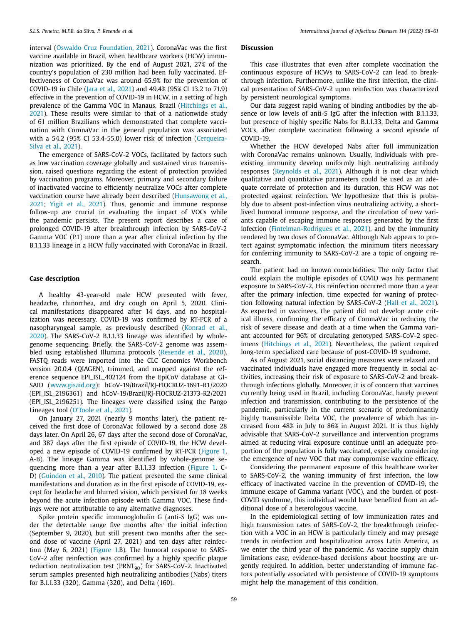interval (Oswaldo Cruz [Foundation,](#page-3-0) 2021). CoronaVac was the first vaccine available in Brazil, when healthcare workers (HCW) immunization was prioritized. By the end of August 2021, 27% of the country's population of 230 million had been fully vaccinated. Effectiveness of CoronaVac was around 65.9% for the prevention of COVID-19 in Chile (Jara et al., [2021\)](#page-3-0) and 49.4% (95% CI 13.2 to 71.9) effective in the prevention of COVID-19 in HCW, in a setting of high prevalence of the Gamma VOC in Manaus, Brazil (Hitchings et al., 2021). These results were similar to that of a [nationwide](#page-3-0) study of 61 million Brazilians which demonstrated that complete vaccination with CoronaVac in the general population was associated with a 54.2 (95% CI 53.4-55.0) lower risk of infection [\(Cerqueira-](#page-3-0)Silva et al., 2021).

The emergence of SARS-CoV-2 VOCs, facilitated by factors such as low vaccination coverage globally and sustained virus transmission, raised questions regarding the extent of protection provided by vaccination programs. Moreover, primary and secondary failure of inactivated vaccine to efficiently neutralize VOCs after complete vaccination course have already been described [\(Hunsawong](#page-3-0) et al., 2021; Yigit et al., [2021\)](#page-3-0). Thus, genomic and immune response follow-up are crucial in evaluating the impact of VOCs while the pandemic persists. The present report describes a case of prolonged COVID-19 after breakthrough infection by SARS-CoV-2 Gamma VOC (P.1) more than a year after clinical infection by the B.1.1.33 lineage in a HCW fully vaccinated with CoronaVac in Brazil.

## **Case description**

A healthy 43-year-old male HCW presented with fever, headache, rhinorrhea, and dry cough on April 5, 2020. Clinical manifestations disappeared after 14 days, and no hospitalization was necessary. COVID-19 was confirmed by RT-PCR of a [nasopharyngeal](#page-3-0) sample, as previously described (Konrad et al., 2020). The SARS-CoV-2 B.1.1.33 lineage was identified by wholegenome sequencing. Briefly, the SARS-CoV-2 genome was assembled using established Illumina protocols [\(Resende](#page-3-0) et al., 2020). FASTQ reads were imported into the CLC Genomics Workbench version 20.0.4 (QIAGEN), trimmed, and mapped against the reference sequence EPI\_ISL\_402124 from the EpiCoV database at GI-SAID [\(www.gisaid.org\)](http://www.gisaid.org): hCoV-19/Brazil/RJ-FIOCRUZ-1691-R1/2020 (EPI\_ISL\_2196361) and hCoV-19/Brazil/RJ-FIOCRUZ-21373-R2/2021 (EPI\_ISL\_2196251). The lineages were classified using the Pango Lineages tool [\(O'Toole](#page-3-0) et al., 2021).

On January 27, 2021 (nearly 9 months later), the patient received the first dose of CoronaVac followed by a second dose 28 days later. On April 26, 67 days after the second dose of CoronaVac, and 387 days after the first episode of COVID-19, the HCW developed a new episode of COVID-19 confirmed by RT-PCR [\(Figure](#page-2-0) 1. A-B). The lineage Gamma was identified by whole-genome sequencing more than a year after B.1.1.33 infection [\(Figure](#page-2-0) 1. C-D) [\(Guindon](#page-3-0) et al., 2010). The patient presented the same clinical manifestations and duration as in the first episode of COVID-19, except for headache and blurred vision, which persisted for 18 weeks beyond the acute infection episode with Gamma VOC. These findings were not attributable to any alternative diagnoses.

Spike protein specific immunoglobulin G (anti-S IgG) was under the detectable range five months after the initial infection (September 9, 2020), but still present two months after the second dose of vaccine (April 27, 2021) and ten days after reinfection (May 6, 2021) [\(Figure](#page-2-0) 1.B). The humoral response to SARS-CoV-2 after reinfection was confirmed by a highly specific plaque reduction neutralization test (PRNT<sub>90</sub>) for SARS-CoV-2. Inactivated serum samples presented high neutralizing antibodies (Nabs) titers for B.1.1.33 (320), Gamma (320), and Delta (160).

## **Discussion**

This case illustrates that even after complete vaccination the continuous exposure of HCWs to SARS-CoV-2 can lead to breakthrough infection. Furthermore, unlike the first infection, the clinical presentation of SARS-CoV-2 upon reinfection was characterized by persistent neurological symptoms.

Our data suggest rapid waning of binding antibodies by the absence or low levels of anti-S IgG after the infection with B.1.1.33, but presence of highly specific Nabs for B.1.1.33, Delta and Gamma VOCs, after complete vaccination following a second episode of COVID-19.

Whether the HCW developed Nabs after full immunization with CoronaVac remains unknown. Usually, individuals with preexisting immunity develop uniformly high neutralizing antibody responses [\(Reynolds](#page-3-0) et al., 2021). Although it is not clear which qualitative and quantitative parameters could be used as an adequate correlate of protection and its duration, this HCW was not protected against reinfection. We hypothesize that this is probably due to absent post-infection virus neutralizing activity, a shortlived humoral immune response, and the circulation of new variants capable of escaping immune responses generated by the first infection [\(Fintelman-Rodrigues](#page-3-0) et al., 2021), and by the immunity rendered by two doses of CoronaVac. Although Nab appears to protect against symptomatic infection, the minimum titers necessary for conferring immunity to SARS-CoV-2 are a topic of ongoing research.

The patient had no known comorbidities. The only factor that could explain the multiple episodes of COVID was his permanent exposure to SARS-CoV-2. His reinfection occurred more than a year after the primary infection, time expected for waning of protection following natural infection by SARS-CoV-2 (Hall et al., [2021\)](#page-3-0). As expected in vaccinees, the patient did not develop acute critical illness, confirming the efficacy of CoronaVac in reducing the risk of severe disease and death at a time when the Gamma variant accounted for 96% of circulating genotyped SARS-CoV-2 specimens [\(Hitchings](#page-3-0) et al., 2021). Nevertheless, the patient required long-term specialized care because of post-COVID-19 syndrome.

As of August 2021, social distancing measures were relaxed and vaccinated individuals have engaged more frequently in social activities, increasing their risk of exposure to SARS-CoV-2 and breakthrough infections globally. Moreover, it is of concern that vaccines currently being used in Brazil, including CoronaVac, barely prevent infection and transmission, contributing to the persistence of the pandemic, particularly in the current scenario of predominantly highly transmissible Delta VOC, the prevalence of which has increased from 48% in July to 86% in August 2021. It is thus highly advisable that SARS-CoV-2 surveillance and intervention programs aimed at reducing viral exposure continue until an adequate proportion of the population is fully vaccinated, especially considering the emergence of new VOC that may compromise vaccine efficacy.

Considering the permanent exposure of this healthcare worker to SARS-CoV-2, the waning immunity of first infection, the low efficacy of inactivated vaccine in the prevention of COVID-19, the immune escape of Gamma variant (VOC), and the burden of post-COVID syndrome, this individual would have benefited from an additional dose of a heterologous vaccine.

In the epidemiological setting of low immunization rates and high transmission rates of SARS-CoV-2, the breakthrough reinfection with a VOC in an HCW is particularly timely and may presage trends in reinfection and hospitalization across Latin America, as we enter the third year of the pandemic. As vaccine supply chain limitations ease, evidence-based decisions about boosting are urgently required. In addition, better understanding of immune factors potentially associated with persistence of COVID-19 symptoms might help the management of this condition.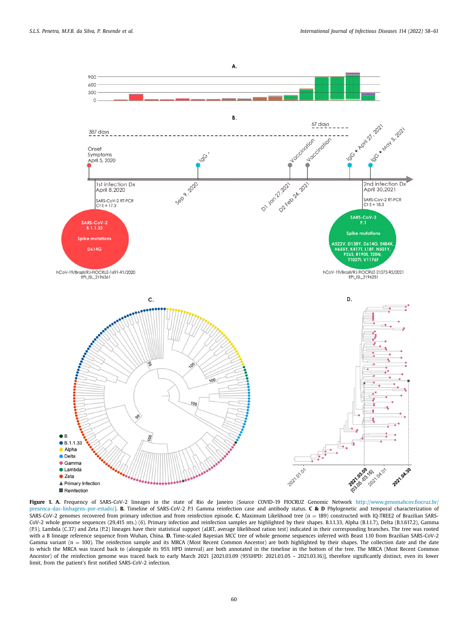<span id="page-2-0"></span>

**Figure 1. A.** Frequency of SARS-CoV-2 lineages in the state of Rio de Janeiro (Source COVID-19 FIOCRUZ Genomic Network http://www.genomahcov.fiocruz.br/ [presenca-das-linhagens-por-estado/\).](http://www.genomahcov.fiocruz.br/presenca-das-linhagens-por-estado/) **B.** Timeline of SARS-CoV-2 P.1 Gamma reinfection case and antibody status. **C & D** Phylogenetic and temporal characterization of SARS-CoV-2 genomes recovered from primary infection and from reinfection episode. C. Maximum Likelihood tree (n = 189) constructed with IQ-TREE2 of Brazilian SARS-CoV-2 whole genome sequences (29,415 nts.) (*6*). Primary infection and reinfection samples are highlighted by their shapes. B.1.1.33, Alpha (B.1.1.7), Delta (B.1.617.2), Gamma (P.1), Lambda (C.37) and Zeta (P.2) lineages have their statistical support (aLRT, average likelihood ration test) indicated in their corresponding branches. The tree was rooted with a B lineage reference sequence from Wuhan, China. **D.** Time-scaled Bayesian MCC tree of whole genome sequences inferred with Beast 1.10 from Brazilian SARS-CoV-2 Gamma variant ( $n = 100$ ). The reinfection sample and its MRCA (Most Recent Common Ancestor) are both highlighted by their shapes. The collection date and the date to which the MRCA was traced back to (alongside its 95% HPD interval) are both annotated in the timeline in the bottom of the tree. The MRCA (Most Recent Common Ancestor) of the reinfection genome was traced back to early March 2021 [2021.03.09 (95%HPD: 2021.03.05 – 2021.03.16)], therefore significantly distinct, even its lower limit, from the patient's first notified SARS-CoV-2 infection.